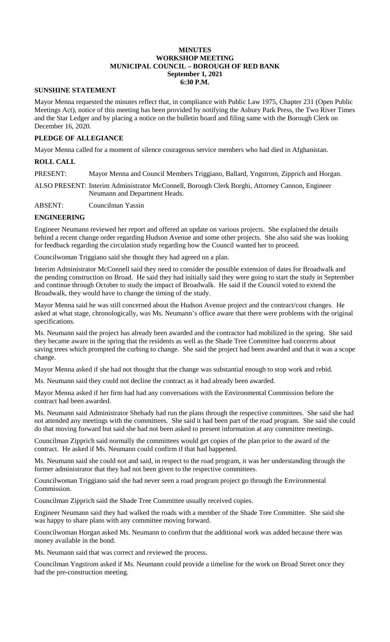#### **MINUTES WORKSHOP MEETING MUNICIPAL COUNCIL – BOROUGH OF RED BANK September 1, 2021 6:30 P.M.**

#### **SUNSHINE STATEMENT**

Mayor Menna requested the minutes reflect that, in compliance with Public Law 1975, Chapter 231 (Open Public Meetings Act), notice of this meeting has been provided by notifying the Asbury Park Press, the Two River Times and the Star Ledger and by placing a notice on the bulletin board and filing same with the Borough Clerk on December 16, 2020.

## **PLEDGE OF ALLEGIANCE**

Mayor Menna called for a moment of silence courageous service members who had died in Afghanistan.

#### **ROLL CALL**

PRESENT: Mayor Menna and Council Members Triggiano, Ballard, Yngstrom, Zipprich and Horgan.

ALSO PRESENT: Interim Administrator McConnell, Borough Clerk Borghi, Attorney Cannon, Engineer Neumann and Department Heads.

ABSENT: Councilman Yassin

## **ENGINEERING**

Engineer Neumann reviewed her report and offered an update on various projects. She explained the details behind a recent change order regarding Hudson Avenue and some other projects. She also said she was looking for feedback regarding the circulation study regarding how the Council wanted her to proceed.

Councilwoman Triggiano said she thought they had agreed on a plan.

Interim Administrator McConnell said they need to consider the possible extension of dates for Broadwalk and the pending construction on Broad. He said they had initially said they were going to start the study in September and continue through October to study the impact of Broadwalk. He said if the Council voted to extend the Broadwalk, they would have to change the timing of the study.

Mayor Menna said he was still concerned about the Hudson Avenue project and the contract/cost changes. He asked at what stage, chronologically, was Ms. Neumann's office aware that there were problems with the original specifications.

Ms. Neumann said the project has already been awarded and the contractor had mobilized in the spring. She said they became aware in the spring that the residents as well as the Shade Tree Committee had concerns about saving trees which prompted the curbing to change. She said the project had been awarded and that it was a scope change.

Mayor Menna asked if she had not thought that the change was substantial enough to stop work and rebid.

Ms. Neumann said they could not decline the contract as it had already been awarded.

Mayor Menna asked if her firm had had any conversations with the Environmental Commission before the contract had been awarded.

Ms. Neumann said Administrator Shehady had run the plans through the respective committees. She said she had not attended any meetings with the committees. She said it had been part of the road program. She said she could do that moving forward but said she had not been asked to present information at any committee meetings.

Councilman Zipprich said normally the committees would get copies of the plan prior to the award of the contract. He asked if Ms. Neumann could confirm if that had happened.

Ms. Neumann said she could not and said, in respect to the road program, it was her understanding through the former administrator that they had not been given to the respective committees.

Councilwoman Triggiano said she had never seen a road program project go through the Environmental Commission.

Councilman Zipprich said the Shade Tree Committee usually received copies.

Engineer Neumann said they had walked the roads with a member of the Shade Tree Committee. She said she was happy to share plans with any committee moving forward.

Councilwoman Horgan asked Ms. Neumann to confirm that the additional work was added because there was money available in the bond.

Ms. Neumann said that was correct and reviewed the process.

Councilman Yngstrom asked if Ms. Neumann could provide a timeline for the work on Broad Street once they had the pre-construction meeting.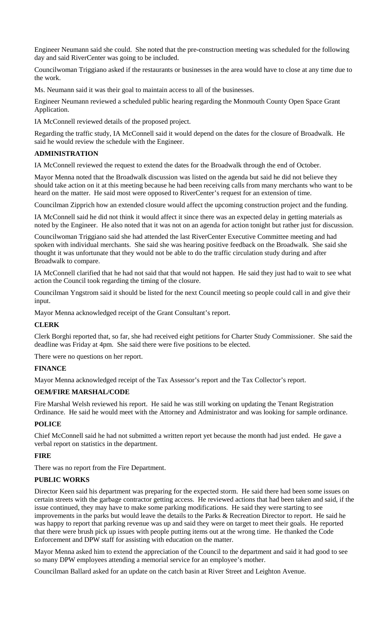Engineer Neumann said she could. She noted that the pre-construction meeting was scheduled for the following day and said RiverCenter was going to be included.

Councilwoman Triggiano asked if the restaurants or businesses in the area would have to close at any time due to the work.

Ms. Neumann said it was their goal to maintain access to all of the businesses.

Engineer Neumann reviewed a scheduled public hearing regarding the Monmouth County Open Space Grant Application.

IA McConnell reviewed details of the proposed project.

Regarding the traffic study, IA McConnell said it would depend on the dates for the closure of Broadwalk. He said he would review the schedule with the Engineer.

### **ADMINISTRATION**

IA McConnell reviewed the request to extend the dates for the Broadwalk through the end of October.

Mayor Menna noted that the Broadwalk discussion was listed on the agenda but said he did not believe they should take action on it at this meeting because he had been receiving calls from many merchants who want to be heard on the matter. He said most were opposed to RiverCenter's request for an extension of time.

Councilman Zipprich how an extended closure would affect the upcoming construction project and the funding.

IA McConnell said he did not think it would affect it since there was an expected delay in getting materials as noted by the Engineer. He also noted that it was not on an agenda for action tonight but rather just for discussion.

Councilwoman Triggiano said she had attended the last RiverCenter Executive Committee meeting and had spoken with individual merchants. She said she was hearing positive feedback on the Broadwalk. She said she thought it was unfortunate that they would not be able to do the traffic circulation study during and after Broadwalk to compare.

IA McConnell clarified that he had not said that that would not happen. He said they just had to wait to see what action the Council took regarding the timing of the closure.

Councilman Yngstrom said it should be listed for the next Council meeting so people could call in and give their input.

Mayor Menna acknowledged receipt of the Grant Consultant's report.

#### **CLERK**

Clerk Borghi reported that, so far, she had received eight petitions for Charter Study Commissioner. She said the deadline was Friday at 4pm. She said there were five positions to be elected.

There were no questions on her report.

#### **FINANCE**

Mayor Menna acknowledged receipt of the Tax Assessor's report and the Tax Collector's report.

#### **OEM/FIRE MARSHAL/CODE**

Fire Marshal Welsh reviewed his report. He said he was still working on updating the Tenant Registration Ordinance. He said he would meet with the Attorney and Administrator and was looking for sample ordinance.

#### **POLICE**

Chief McConnell said he had not submitted a written report yet because the month had just ended. He gave a verbal report on statistics in the department.

#### **FIRE**

There was no report from the Fire Department.

## **PUBLIC WORKS**

Director Keen said his department was preparing for the expected storm. He said there had been some issues on certain streets with the garbage contractor getting access. He reviewed actions that had been taken and said, if the issue continued, they may have to make some parking modifications. He said they were starting to see improvements in the parks but would leave the details to the Parks & Recreation Director to report. He said he was happy to report that parking revenue was up and said they were on target to meet their goals. He reported that there were brush pick up issues with people putting items out at the wrong time. He thanked the Code Enforcement and DPW staff for assisting with education on the matter.

Mayor Menna asked him to extend the appreciation of the Council to the department and said it had good to see so many DPW employees attending a memorial service for an employee's mother.

Councilman Ballard asked for an update on the catch basin at River Street and Leighton Avenue.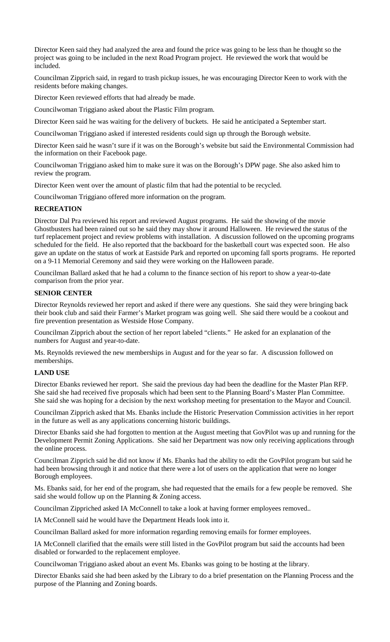Director Keen said they had analyzed the area and found the price was going to be less than he thought so the project was going to be included in the next Road Program project. He reviewed the work that would be included.

Councilman Zipprich said, in regard to trash pickup issues, he was encouraging Director Keen to work with the residents before making changes.

Director Keen reviewed efforts that had already be made.

Councilwoman Triggiano asked about the Plastic Film program.

Director Keen said he was waiting for the delivery of buckets. He said he anticipated a September start.

Councilwoman Triggiano asked if interested residents could sign up through the Borough website.

Director Keen said he wasn't sure if it was on the Borough's website but said the Environmental Commission had the information on their Facebook page.

Councilwoman Triggiano asked him to make sure it was on the Borough's DPW page. She also asked him to review the program.

Director Keen went over the amount of plastic film that had the potential to be recycled.

Councilwoman Triggiano offered more information on the program.

#### **RECREATION**

Director Dal Pra reviewed his report and reviewed August programs. He said the showing of the movie Ghostbusters had been rained out so he said they may show it around Halloween. He reviewed the status of the turf replacement project and review problems with installation. A discussion followed on the upcoming programs scheduled for the field. He also reported that the backboard for the basketball court was expected soon. He also gave an update on the status of work at Eastside Park and reported on upcoming fall sports programs. He reported on a 9-11 Memorial Ceremony and said they were working on the Halloween parade.

Councilman Ballard asked that he had a column to the finance section of his report to show a year-to-date comparison from the prior year.

#### **SENIOR CENTER**

Director Reynolds reviewed her report and asked if there were any questions. She said they were bringing back their book club and said their Farmer's Market program was going well. She said there would be a cookout and fire prevention presentation as Westside Hose Company.

Councilman Zipprich about the section of her report labeled "clients." He asked for an explanation of the numbers for August and year-to-date.

Ms. Reynolds reviewed the new memberships in August and for the year so far. A discussion followed on memberships.

### **LAND USE**

Director Ebanks reviewed her report. She said the previous day had been the deadline for the Master Plan RFP. She said she had received five proposals which had been sent to the Planning Board's Master Plan Committee. She said she was hoping for a decision by the next workshop meeting for presentation to the Mayor and Council.

Councilman Zipprich asked that Ms. Ebanks include the Historic Preservation Commission activities in her report in the future as well as any applications concerning historic buildings.

Director Ebanks said she had forgotten to mention at the August meeting that GovPilot was up and running for the Development Permit Zoning Applications. She said her Department was now only receiving applications through the online process.

Councilman Zipprich said he did not know if Ms. Ebanks had the ability to edit the GovPilot program but said he had been browsing through it and notice that there were a lot of users on the application that were no longer Borough employees.

Ms. Ebanks said, for her end of the program, she had requested that the emails for a few people be removed. She said she would follow up on the Planning & Zoning access.

Councilman Zippriched asked IA McConnell to take a look at having former employees removed..

IA McConnell said he would have the Department Heads look into it.

Councilman Ballard asked for more information regarding removing emails for former employees.

IA McConnell clarified that the emails were still listed in the GovPilot program but said the accounts had been disabled or forwarded to the replacement employee.

Councilwoman Triggiano asked about an event Ms. Ebanks was going to be hosting at the library.

Director Ebanks said she had been asked by the Library to do a brief presentation on the Planning Process and the purpose of the Planning and Zoning boards.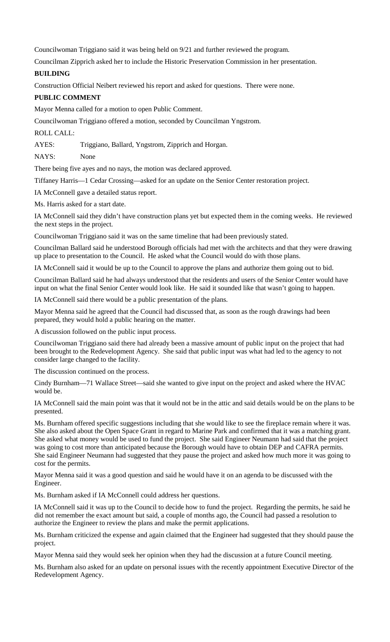Councilwoman Triggiano said it was being held on 9/21 and further reviewed the program.

Councilman Zipprich asked her to include the Historic Preservation Commission in her presentation.

## **BUILDING**

Construction Official Neibert reviewed his report and asked for questions. There were none.

## **PUBLIC COMMENT**

Mayor Menna called for a motion to open Public Comment.

Councilwoman Triggiano offered a motion, seconded by Councilman Yngstrom.

### ROLL CALL:

AYES: Triggiano, Ballard, Yngstrom, Zipprich and Horgan.

NAYS: None

There being five ayes and no nays, the motion was declared approved.

Tiffaney Harris—1 Cedar Crossing—asked for an update on the Senior Center restoration project.

IA McConnell gave a detailed status report.

Ms. Harris asked for a start date.

IA McConnell said they didn't have construction plans yet but expected them in the coming weeks. He reviewed the next steps in the project.

Councilwoman Triggiano said it was on the same timeline that had been previously stated.

Councilman Ballard said he understood Borough officials had met with the architects and that they were drawing up place to presentation to the Council. He asked what the Council would do with those plans.

IA McConnell said it would be up to the Council to approve the plans and authorize them going out to bid.

Councilman Ballard said he had always understood that the residents and users of the Senior Center would have input on what the final Senior Center would look like. He said it sounded like that wasn't going to happen.

IA McConnell said there would be a public presentation of the plans.

Mayor Menna said he agreed that the Council had discussed that, as soon as the rough drawings had been prepared, they would hold a public hearing on the matter.

A discussion followed on the public input process.

Councilwoman Triggiano said there had already been a massive amount of public input on the project that had been brought to the Redevelopment Agency. She said that public input was what had led to the agency to not consider large changed to the facility.

The discussion continued on the process.

Cindy Burnham—71 Wallace Street—said she wanted to give input on the project and asked where the HVAC would be.

IA McConnell said the main point was that it would not be in the attic and said details would be on the plans to be presented.

Ms. Burnham offered specific suggestions including that she would like to see the fireplace remain where it was. She also asked about the Open Space Grant in regard to Marine Park and confirmed that it was a matching grant. She asked what money would be used to fund the project. She said Engineer Neumann had said that the project was going to cost more than anticipated because the Borough would have to obtain DEP and CAFRA permits. She said Engineer Neumann had suggested that they pause the project and asked how much more it was going to cost for the permits.

Mayor Menna said it was a good question and said he would have it on an agenda to be discussed with the Engineer.

Ms. Burnham asked if IA McConnell could address her questions.

IA McConnell said it was up to the Council to decide how to fund the project. Regarding the permits, he said he did not remember the exact amount but said, a couple of months ago, the Council had passed a resolution to authorize the Engineer to review the plans and make the permit applications.

Ms. Burnham criticized the expense and again claimed that the Engineer had suggested that they should pause the project.

Mayor Menna said they would seek her opinion when they had the discussion at a future Council meeting.

Ms. Burnham also asked for an update on personal issues with the recently appointment Executive Director of the Redevelopment Agency.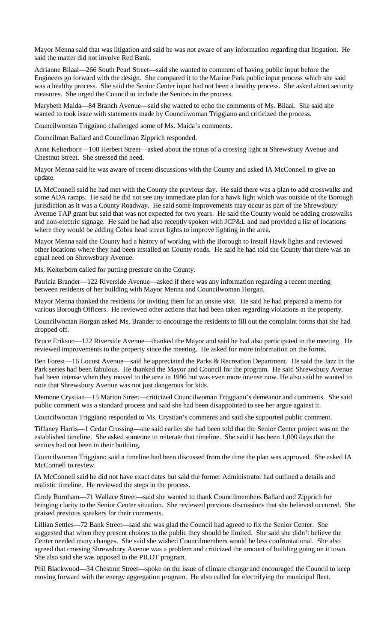Mayor Menna said that was litigation and said he was not aware of any information regarding that litigation. He said the matter did not involve Red Bank.

Adrianne Bilaal—266 South Pearl Street—said she wanted to comment of having public input before the Engineers go forward with the design. She compared it to the Marine Park public input process which she said was a healthy process. She said the Senior Center input had not been a healthy process. She asked about security measures. She urged the Council to include the Seniors in the process.

Marybeth Maida—84 Branch Avenue—said she wanted to echo the comments of Ms. Bilaal. She said she wanted to took issue with statements made by Councilwoman Triggiano and criticized the process.

Councilwoman Triggiano challenged some of Ms. Maida's comments.

Councilman Ballard and Councilman Zipprich responded.

Anne Kelterborn—108 Herbert Street—asked about the status of a crossing light at Shrewsbury Avenue and Chestnut Street. She stressed the need.

Mayor Menna said he was aware of recent discussions with the County and asked IA McConnell to give an update.

IA McConnell said he had met with the County the previous day. He said there was a plan to add crosswalks and some ADA ramps. He said he did not see any immediate plan for a hawk light which was outside of the Borough jurisdiction as it was a County Roadway. He said some improvements may occur as part of the Shrewsbury Avenue TAP grant but said that was not expected for two years. He said the County would be adding crosswalks and non-electric signage. He said he had also recently spoken with JCP&L and had provided a list of locations where they would be adding Cobra head street lights to improve lighting in the area.

Mayor Menna said the County had a history of working with the Borough to install Hawk lights and reviewed other locations where they had been installed on County roads. He said he had told the County that there was an equal need on Shrewsbury Avenue.

Ms. Kelterborn called for putting pressure on the County.

Patricia Brander—122 Riverside Avenue—asked if there was any information regarding a recent meeting between residents of her building with Mayor Menna and Councilwoman Horgan.

Mayor Menna thanked the residents for inviting them for an onsite visit. He said he had prepared a memo for various Borough Officers. He reviewed other actions that had been taken regarding violations at the property.

Councilwoman Horgan asked Ms. Brander to encourage the residents to fill out the complaint forms that she had dropped off.

Bruce Erikson—122 Riverside Avenue—thanked the Mayor and said he had also participated in the meeting. He reviewed improvements to the property since the meeting. He asked for more information on the forms.

Ben Forest—16 Locust Avenue—said he appreciated the Parks & Recreation Department. He said the Jazz in the Park series had been fabulous. He thanked the Mayor and Council for the program. He said Shrewsbury Avenue had been intense when they moved to the area in 1996 but was even more intense now. He also said he wanted to note that Shrewsbury Avenue was not just dangerous for kids.

Memone Crystian—15 Marion Street—criticized Councilwoman Triggiano's demeanor and comments. She said public comment was a standard process and said she had been disappointed to see her argue against it.

Councilwoman Triggiano responded to Ms. Crystian's comments and said she supported public comment.

Tiffaney Harris—1 Cedar Crossing—she said earlier she had been told that the Senior Center project was on the established timeline. She asked someone to reiterate that timeline. She said it has been 1,000 days that the seniors had not been in their building.

Councilwoman Triggiano said a timeline had been discussed from the time the plan was approved. She asked IA McConnell to review.

IA McConnell said he did not have exact dates but said the former Administrator had outlined a details and realistic timeline. He reviewed the steps in the process.

Cindy Burnham—71 Wallace Street—said she wanted to thank Councilmembers Ballard and Zipprich for bringing clarity to the Senior Center situation. She reviewed previous discussions that she believed occurred. She praised previous speakers for their comments.

Lillian Settles—72 Bank Street—said she was glad the Council had agreed to fix the Senior Center. She suggested that when they present choices to the public they should be limited. She said she didn't believe the Center needed many changes. She said she wished Councilmembers would be less confrontational. She also agreed that crossing Shrewsbury Avenue was a problem and criticized the amount of building going on it town. She also said she was opposed to the PILOT program.

Phil Blackwood—34 Chestnut Street—spoke on the issue of climate change and encouraged the Council to keep moving forward with the energy aggregation program. He also called for electrifying the municipal fleet.